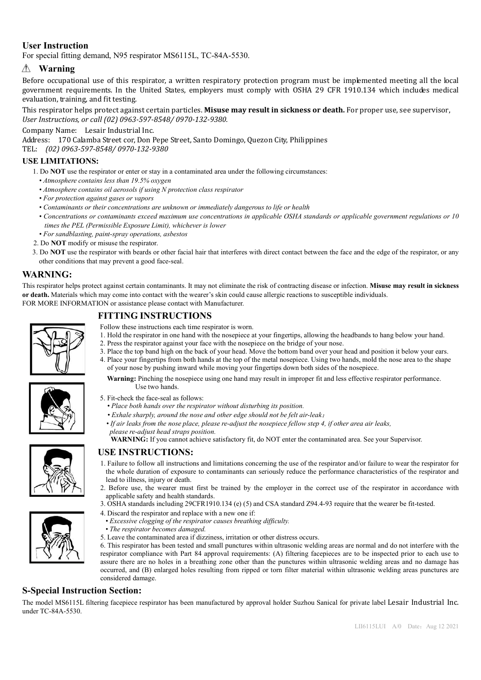## **User Instruction**

For special fitting demand, N95 respirator MS6115L, TC-84A-5530.

# **Warning**

Before occupational use of this respirator, a written respiratory protection program must be implemented meeting all the local government requirements. In the United States, employers must comply with OSHA 29 CFR 1910.134 which includes medical evaluation, training, and fit testing.

This respirator helps protect against certain particles. **Misuse may result in sickness or death.** For proper use, see supervisor, *User Instructions, or call (02) 0963-597-8548/ 0970-132-9380.*

Company Name: Lesair Industrial Inc.

Address: 170 Calamba Street cor, Don Pepe Street, Santo Domingo, Quezon City, Philippines

TEL: *(02) 0963-597-8548/ 0970-132-9380*

#### **USE LIMITATIONS:**

- 1. Do **NOT** use the respirator or enter or stay in a contaminated area under the following circumstances:
	- *Atmosphere contains less than 19.5% oxygen*
	- *Atmosphere contains oil aerosols if using N protection class respirator*
	- *For protection against gases or vapors*
	- *Contaminants or their concentrations are unknown or immediately dangerous to life or health*
	- *Concentrations or contaminants exceed maximum use concentrations in applicable OSHA standards or applicable government regulations or 10 times the PEL (Permissible Exposure Limit), whichever is lower*
	- *For sandblasting, paint-spray operations, asbestos*
- 2. Do **NOT** modify or misuse the respirator.
- 3. Do **NOT** use the respirator with beards or other facial hair that interferes with direct contact between the face and the edge of the respirator, or any other conditions that may prevent a good face-seal.

### **WARNING:**

This respirator helps protect against certain contaminants. It may not eliminate the risk of contracting disease or infection. **Misuse may result in sickness or death.** Materials which may come into contact with the wearer's skin could cause allergic reactions to susceptible individuals. FOR MORE INFORMATION or assistance please contact with Manufacturer.

## **FITTING INSTRUCTIONS**

- Follow these instructions each time respirator is worn.
- 1. Hold the respirator in one hand with the nosepiece at your fingertips, allowing the headbands to hang below your hand.
	- 2. Press the respirator against your face with the nosepiece on the bridge of your nose.
	- 3. Place the top band high on the back of your head. Move the bottom band over your head and position it below your ears. 4. Place your fingertips from both hands at the top of the metal nosepiece. Using two hands, mold the nose area to the shape of your nose by pushing inward while moving your fingertips down both sides of the nosepiece.



- **Warning:** Pinching the nosepiece using one hand may result in improper fit and less effective respirator performance. Use two hands.
- 5. Fit-check the face-seal as follows:
	- *Place both hands over the respirator without disturbing its position.*
	- *Exhale sharply, around the nose and other edge should not be felt air-leak*;
	- *If air leaks from the nose place, please re-adjust the nosepiece fellow step 4, if other area air leaks, please re-adjust head straps position.*
	- **WARNING:** If you cannot achieve satisfactory fit, do NOT enter the contaminated area. See your Supervisor.

#### **USE INSTRUCTIONS:**

- 1. Failure to follow all instructions and limitations concerning the use of the respirator and/or failure to wear the respirator for the whole duration of exposure to contaminants can seriously reduce the performance characteristics of the respirator and lead to illness, injury or death.
- 2. Before use, the wearer must first be trained by the employer in the correct use of the respirator in accordance with applicable safety and health standards.
- 3. OSHA standards including 29CFR1910.134 (e) (5) and CSA standard Z94.4-93 require that the wearer be fit-tested.
- 4. Discard the respirator and replace with a new one if:
- *Excessive clogging of the respirator causes breathing difficulty.*
- *The respirator becomes damaged.*
- 5. Leave the contaminated area if dizziness, irritation or other distress occurs.
- 6. This respirator has been tested and small punctures within ultrasonic welding areas are normal and do not interfere with the respirator compliance with Part 84 approval requirements: (A) filtering facepieces are to be inspected prior to each use to assure there are no holes in a breathing zone other than the punctures within ultrasonic welding areas and no damage has occurred, and (B) enlarged holes resulting from ripped or torn filter material within ultrasonic welding areas punctures are considered damage.

#### **S-Special Instruction Section:**

The model MS6115L filtering facepiece respirator has been manufactured by approval holder Suzhou Sanical for private label Lesair Industrial Inc. under TC-84A-5530.